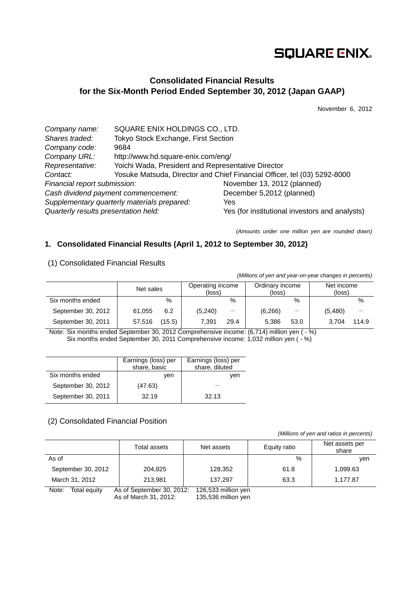# **SQUARE ENIX.**

## **Consolidated Financial Results for the Six-Month Period Ended September 30, 2012 (Japan GAAP)**

November 6, 2012

| Company name:                               | SQUARE ENIX HOLDINGS CO., LTD.                     |                                                                          |  |  |
|---------------------------------------------|----------------------------------------------------|--------------------------------------------------------------------------|--|--|
| Shares traded:                              | Tokyo Stock Exchange, First Section                |                                                                          |  |  |
| Company code:                               | 9684                                               |                                                                          |  |  |
| Company URL:                                | http://www.hd.square-enix.com/eng/                 |                                                                          |  |  |
| Representative:                             | Yoichi Wada, President and Representative Director |                                                                          |  |  |
| Contact:                                    |                                                    | Yosuke Matsuda, Director and Chief Financial Officer, tel (03) 5292-8000 |  |  |
| Financial report submission:                |                                                    | November 13, 2012 (planned)                                              |  |  |
| Cash dividend payment commencement:         |                                                    | December 5,2012 (planned)                                                |  |  |
| Supplementary quarterly materials prepared: |                                                    | Yes                                                                      |  |  |
| Quarterly results presentation held:        |                                                    | Yes (for institutional investors and analysts)                           |  |  |

*(Amounts under one million yen are rounded down)*

## **1. Consolidated Financial Results (April 1, 2012 to September 30, 2012)**

(1) Consolidated Financial Results

*(Millions of yen and year-on-year changes in percents)*

|                    | Net sales |        | Operating income<br>(loss) |          | Ordinary income<br>(loss) |      | Net income<br>(loss) |       |
|--------------------|-----------|--------|----------------------------|----------|---------------------------|------|----------------------|-------|
| Six months ended   |           | $\%$   |                            | $\%$     |                           | %    |                      | %     |
| September 30, 2012 | 61.055    | 6.2    | (5, 240)                   | $\equiv$ | (6,266)                   |      | (5,480)              |       |
| September 30, 2011 | 57,516    | (15.5) | 7.391                      | 29.4     | 5.386                     | 53.0 | 3.704                | 114.9 |

Note: Six months ended September 30, 2012 Comprehensive income: (6,714) million yen ( - %) Six months ended September 30, 2011 Comprehensive income: 1,032 million yen (- $\%$ )

|                    | Earnings (loss) per<br>share, basic | Earnings (loss) per<br>share, diluted |
|--------------------|-------------------------------------|---------------------------------------|
| Six months ended   | ven                                 | ven                                   |
| September 30, 2012 | (47.63)                             |                                       |
| September 30, 2011 | 32.19                               | 32.13                                 |

### (2) Consolidated Financial Position

*(Millions of yen and ratios in percents)*

|                       | Total assets              | Net assets          | Equity ratio | Net assets per<br>share |
|-----------------------|---------------------------|---------------------|--------------|-------------------------|
| As of                 |                           |                     | $\%$         | ven                     |
| September 30, 2012    | 204.825                   | 128,352             | 61.8         | 1,099.63                |
| March 31, 2012        | 213.981                   | 137.297             | 63.3         | 1.177.87                |
| Note:<br>Total equity | As of September 30, 2012: | 126,533 million yen |              |                         |

As of March 31, 2012: 135,536 million yen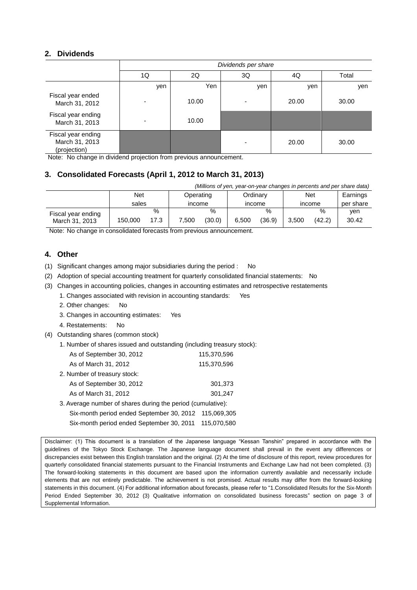## **2. Dividends**

|                                                      | Dividends per share      |       |     |       |       |  |  |
|------------------------------------------------------|--------------------------|-------|-----|-------|-------|--|--|
|                                                      | 1Q                       | 2Q    | 3Q  | 4Q    | Total |  |  |
|                                                      | yen                      | Yen   | yen | yen   | yen   |  |  |
| Fiscal year ended<br>March 31, 2012                  |                          | 10.00 |     | 20.00 | 30.00 |  |  |
| Fiscal year ending<br>March 31, 2013                 | $\overline{\phantom{0}}$ | 10.00 |     |       |       |  |  |
| Fiscal year ending<br>March 31, 2013<br>(projection) |                          |       |     | 20.00 | 30.00 |  |  |

Note: No change in dividend projection from previous announcement.

## **3. Consolidated Forecasts (April 1, 2012 to March 31, 2013)**

| (Millions of yen, year-on-year changes in percents and per share data) |         |      |           |        |       |          |       |        |           |
|------------------------------------------------------------------------|---------|------|-----------|--------|-------|----------|-------|--------|-----------|
|                                                                        | Net     |      | Operating |        |       | Ordinary |       | Net    | Earnings  |
|                                                                        | sales   |      | income    |        |       | income   |       | income | per share |
| Fiscal year ending                                                     |         | $\%$ |           | %      |       | $\%$     |       | $\%$   | ven       |
| March 31, 2013                                                         | 150.000 | 17.3 | 7.500     | (30.0) | 6.500 | (36.9)   | 3.500 | (42.2) | 30.42     |

Note: No change in consolidated forecasts from previous announcement.

## **4. Other**

- (1) Significant changes among major subsidiaries during the period : No
- (2) Adoption of special accounting treatment for quarterly consolidated financial statements: No
- (3) Changes in accounting policies, changes in accounting estimates and retrospective restatements
	- 1. Changes associated with revision in accounting standards: Yes
	- 2. Other changes: No
	- 3. Changes in accounting estimates: Yes
	- 4. Restatements: No
- (4) Outstanding shares (common stock)
	- 1. Number of shares issued and outstanding (including treasury stock):

| As of September 30, 2012                                    | 115,370,596 |
|-------------------------------------------------------------|-------------|
| As of March 31, 2012                                        | 115,370,596 |
| 2. Number of treasury stock:                                |             |
| As of September 30, 2012                                    | 301,373     |
| As of March 31, 2012                                        | 301.247     |
| 3. Average number of shares during the period (cumulative): |             |
| Six-month period ended September 30, 2012 115,069,305       |             |

Six-month period ended September 30, 2011 115,070,580

Disclaimer: (1) This document is a translation of the Japanese language "Kessan Tanshin" prepared in accordance with the guidelines of the Tokyo Stock Exchange. The Japanese language document shall prevail in the event any differences or discrepancies exist between this English translation and the original. (2) At the time of disclosure of this report, review procedures for quarterly consolidated financial statements pursuant to the Financial Instruments and Exchange Law had not been completed. (3) The forward-looking statements in this document are based upon the information currently available and necessarily include elements that are not entirely predictable. The achievement is not promised. Actual results may differ from the forward-looking statements in this document. (4) For additional information about forecasts, please refer to "1.Consolidated Results for the Six-Month Period Ended September 30, 2012 (3) Qualitative information on consolidated business forecasts" section on page 3 of Supplemental Information.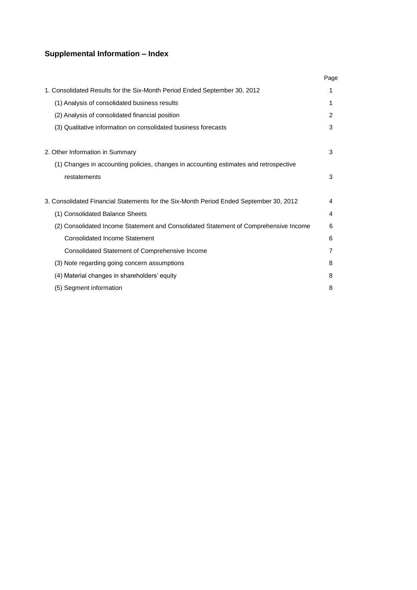## **Supplemental Information – Index**

|                                                                                        | Page           |
|----------------------------------------------------------------------------------------|----------------|
| 1. Consolidated Results for the Six-Month Period Ended September 30, 2012              | 1              |
| (1) Analysis of consolidated business results                                          | 1              |
| (2) Analysis of consolidated financial position                                        | $\overline{2}$ |
| (3) Qualitative information on consolidated business forecasts                         | 3              |
| 2. Other Information in Summary                                                        | 3              |
| (1) Changes in accounting policies, changes in accounting estimates and retrospective  |                |
| restatements                                                                           | 3              |
| 3. Consolidated Financial Statements for the Six-Month Period Ended September 30, 2012 | 4              |
| (1) Consolidated Balance Sheets                                                        | 4              |
| (2) Consolidated Income Statement and Consolidated Statement of Comprehensive Income   | 6              |
| <b>Consolidated Income Statement</b>                                                   | 6              |
| Consolidated Statement of Comprehensive Income                                         | 7              |
| (3) Note regarding going concern assumptions                                           | 8              |
| (4) Material changes in shareholders' equity                                           | 8              |
| (5) Segment information                                                                | 8              |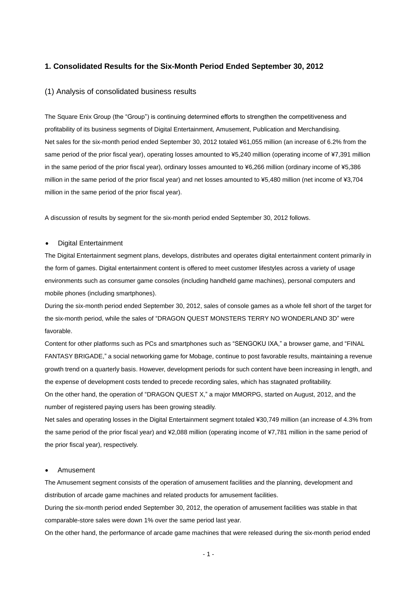### **1. Consolidated Results for the Six-Month Period Ended September 30, 2012**

#### (1) Analysis of consolidated business results

The Square Enix Group (the "Group") is continuing determined efforts to strengthen the competitiveness and profitability of its business segments of Digital Entertainment, Amusement, Publication and Merchandising. Net sales for the six-month period ended September 30, 2012 totaled ¥61,055 million (an increase of 6.2% from the same period of the prior fiscal year), operating losses amounted to ¥5,240 million (operating income of ¥7,391 million in the same period of the prior fiscal year), ordinary losses amounted to ¥6,266 million (ordinary income of ¥5,386 million in the same period of the prior fiscal year) and net losses amounted to ¥5,480 million (net income of ¥3,704 million in the same period of the prior fiscal year).

A discussion of results by segment for the six-month period ended September 30, 2012 follows.

#### Digital Entertainment

The Digital Entertainment segment plans, develops, distributes and operates digital entertainment content primarily in the form of games. Digital entertainment content is offered to meet customer lifestyles across a variety of usage environments such as consumer game consoles (including handheld game machines), personal computers and mobile phones (including smartphones).

During the six-month period ended September 30, 2012, sales of console games as a whole fell short of the target for the six-month period, while the sales of "DRAGON QUEST MONSTERS TERRY NO WONDERLAND 3D" were favorable.

Content for other platforms such as PCs and smartphones such as "SENGOKU IXA," a browser game, and "FINAL FANTASY BRIGADE," a social networking game for Mobage, continue to post favorable results, maintaining a revenue growth trend on a quarterly basis. However, development periods for such content have been increasing in length, and the expense of development costs tended to precede recording sales, which has stagnated profitability. On the other hand, the operation of "DRAGON QUEST X," a major MMORPG, started on August, 2012, and the number of registered paying users has been growing steadily.

Net sales and operating losses in the Digital Entertainment segment totaled ¥30,749 million (an increase of 4.3% from the same period of the prior fiscal year) and ¥2,088 million (operating income of ¥7,781 million in the same period of the prior fiscal year), respectively.

#### Amusement

The Amusement segment consists of the operation of amusement facilities and the planning, development and distribution of arcade game machines and related products for amusement facilities.

During the six-month period ended September 30, 2012, the operation of amusement facilities was stable in that comparable-store sales were down 1% over the same period last year.

On the other hand, the performance of arcade game machines that were released during the six-month period ended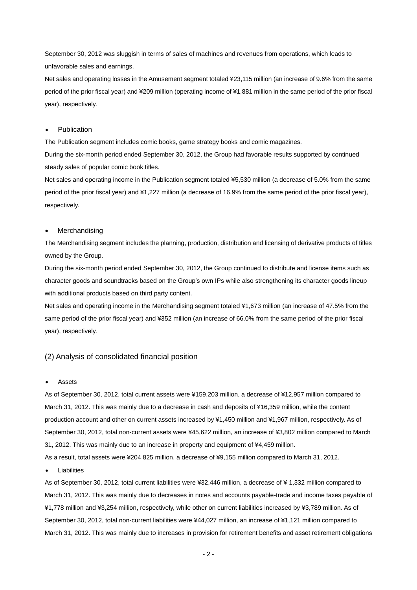September 30, 2012 was sluggish in terms of sales of machines and revenues from operations, which leads to unfavorable sales and earnings.

Net sales and operating losses in the Amusement segment totaled ¥23,115 million (an increase of 9.6% from the same period of the prior fiscal year) and ¥209 million (operating income of ¥1,881 million in the same period of the prior fiscal year), respectively.

#### Publication

The Publication segment includes comic books, game strategy books and comic magazines.

During the six-month period ended September 30, 2012, the Group had favorable results supported by continued steady sales of popular comic book titles.

Net sales and operating income in the Publication segment totaled ¥5,530 million (a decrease of 5.0% from the same period of the prior fiscal year) and ¥1,227 million (a decrease of 16.9% from the same period of the prior fiscal year), respectively.

#### Merchandising

The Merchandising segment includes the planning, production, distribution and licensing of derivative products of titles owned by the Group.

During the six-month period ended September 30, 2012, the Group continued to distribute and license items such as character goods and soundtracks based on the Group's own IPs while also strengthening its character goods lineup with additional products based on third party content.

Net sales and operating income in the Merchandising segment totaled ¥1,673 million (an increase of 47.5% from the same period of the prior fiscal year) and ¥352 million (an increase of 66.0% from the same period of the prior fiscal year), respectively.

#### (2) Analysis of consolidated financial position

#### Assets

As of September 30, 2012, total current assets were ¥159,203 million, a decrease of ¥12,957 million compared to March 31, 2012. This was mainly due to a decrease in cash and deposits of ¥16,359 million, while the content production account and other on current assets increased by ¥1,450 million and ¥1,967 million, respectively. As of September 30, 2012, total non-current assets were ¥45,622 million, an increase of ¥3,802 million compared to March 31, 2012. This was mainly due to an increase in property and equipment of ¥4,459 million.

As a result, total assets were ¥204,825 million, a decrease of ¥9,155 million compared to March 31, 2012.

#### Liabilities

As of September 30, 2012, total current liabilities were ¥32,446 million, a decrease of ¥ 1,332 million compared to March 31, 2012. This was mainly due to decreases in notes and accounts payable-trade and income taxes payable of ¥1,778 million and ¥3,254 million, respectively, while other on current liabilities increased by ¥3,789 million. As of September 30, 2012, total non-current liabilities were ¥44,027 million, an increase of ¥1,121 million compared to March 31, 2012. This was mainly due to increases in provision for retirement benefits and asset retirement obligations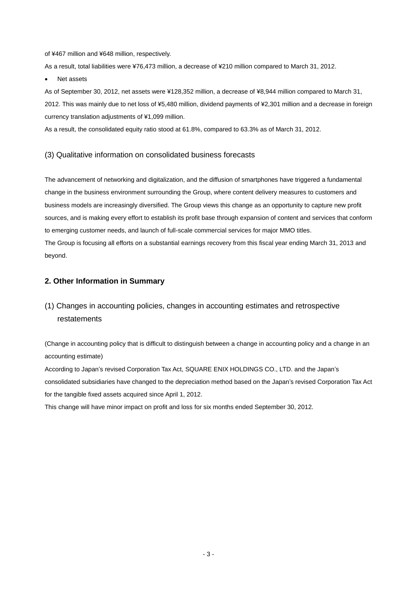of ¥467 million and ¥648 million, respectively.

As a result, total liabilities were ¥76,473 million, a decrease of ¥210 million compared to March 31, 2012.

Net assets

As of September 30, 2012, net assets were ¥128,352 million, a decrease of ¥8,944 million compared to March 31, 2012. This was mainly due to net loss of ¥5,480 million, dividend payments of ¥2,301 million and a decrease in foreign currency translation adjustments of ¥1,099 million.

As a result, the consolidated equity ratio stood at 61.8%, compared to 63.3% as of March 31, 2012.

### (3) Qualitative information on consolidated business forecasts

The advancement of networking and digitalization, and the diffusion of smartphones have triggered a fundamental change in the business environment surrounding the Group, where content delivery measures to customers and business models are increasingly diversified. The Group views this change as an opportunity to capture new profit sources, and is making every effort to establish its profit base through expansion of content and services that conform to emerging customer needs, and launch of full-scale commercial services for major MMO titles. The Group is focusing all efforts on a substantial earnings recovery from this fiscal year ending March 31, 2013 and beyond.

### **2. Other Information in Summary**

## (1) Changes in accounting policies, changes in accounting estimates and retrospective restatements

(Change in accounting policy that is difficult to distinguish between a change in accounting policy and a change in an accounting estimate)

According to Japan's revised Corporation Tax Act, SQUARE ENIX HOLDINGS CO., LTD. and the Japan's consolidated subsidiaries have changed to the depreciation method based on the Japan's revised Corporation Tax Act for the tangible fixed assets acquired since April 1, 2012.

This change will have minor impact on profit and loss for six months ended September 30, 2012.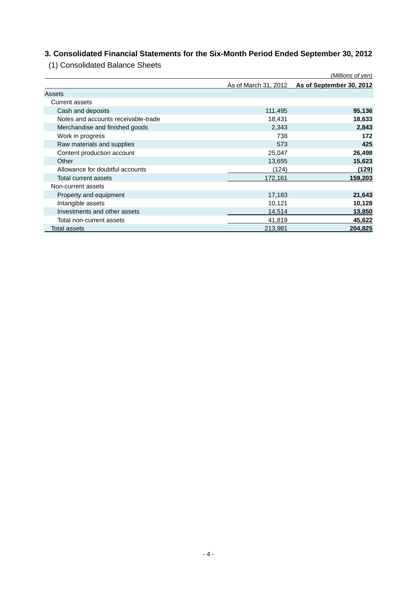## **3. Consolidated Financial Statements for the Six-Month Period Ended September 30, 2012**

(1) Consolidated Balance Sheets

|                                     |                      | (Millions of yen)        |
|-------------------------------------|----------------------|--------------------------|
|                                     | As of March 31, 2012 | As of September 30, 2012 |
| Assets                              |                      |                          |
| Current assets                      |                      |                          |
| Cash and deposits                   | 111,495              | 95,136                   |
| Notes and accounts receivable-trade | 18,431               | 18,633                   |
| Merchandise and finished goods      | 2,343                | 2,843                    |
| Work in progress                    | 738                  | 172                      |
| Raw materials and supplies          | 573                  | 425                      |
| Content production account          | 25,047               | 26,498                   |
| Other                               | 13,655               | 15,623                   |
| Allowance for doubtful accounts     | (124)                | (129)                    |
| Total current assets                | 172,161              | 159,203                  |
| Non-current assets                  |                      |                          |
| Property and equipment              | 17,183               | 21,643                   |
| Intangible assets                   | 10,121               | 10,128                   |
| Investments and other assets        | 14,514               | 13,850                   |
| Total non-current assets            | 41,819               | 45,622                   |
| Total assets                        | 213,981              | 204,825                  |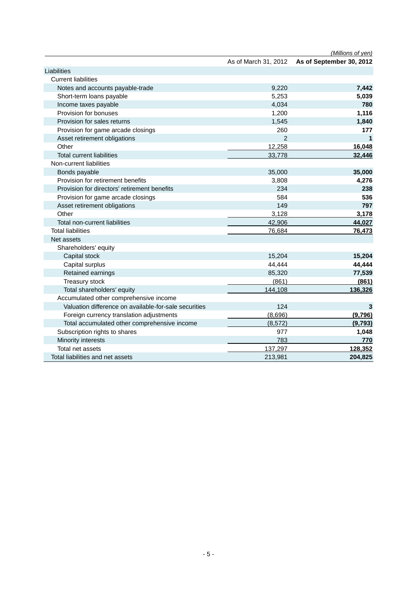|                                                       |                      | (Millions of yen)        |
|-------------------------------------------------------|----------------------|--------------------------|
|                                                       | As of March 31, 2012 | As of September 30, 2012 |
| Liabilities                                           |                      |                          |
| <b>Current liabilities</b>                            |                      |                          |
| Notes and accounts payable-trade                      | 9,220                | 7,442                    |
| Short-term loans payable                              | 5,253                | 5,039                    |
| Income taxes payable                                  | 4,034                | 780                      |
| Provision for bonuses                                 | 1,200                | 1,116                    |
| Provision for sales returns                           | 1,545                | 1,840                    |
| Provision for game arcade closings                    | 260                  | 177                      |
| Asset retirement obligations                          | $\overline{2}$       |                          |
| Other                                                 | 12,258               | 16,048                   |
| <b>Total current liabilities</b>                      | 33,778               | 32,446                   |
| Non-current liabilities                               |                      |                          |
| Bonds payable                                         | 35,000               | 35,000                   |
| Provision for retirement benefits                     | 3,808                | 4,276                    |
| Provision for directors' retirement benefits          | 234                  | 238                      |
| Provision for game arcade closings                    | 584                  | 536                      |
| Asset retirement obligations                          | 149                  | 797                      |
| Other                                                 | 3,128                | 3,178                    |
| Total non-current liabilities                         | 42,906               | 44,027                   |
| <b>Total liabilities</b>                              | 76,684               | 76,473                   |
| Net assets                                            |                      |                          |
| Shareholders' equity                                  |                      |                          |
| Capital stock                                         | 15,204               | 15,204                   |
| Capital surplus                                       | 44,444               | 44,444                   |
| Retained earnings                                     | 85,320               | 77,539                   |
| Treasury stock                                        | (861)                | (861)                    |
| Total shareholders' equity                            | 144,108              | 136,326                  |
| Accumulated other comprehensive income                |                      |                          |
| Valuation difference on available-for-sale securities | 124                  | 3                        |
| Foreign currency translation adjustments              | (8,696)              | (9,796)                  |
| Total accumulated other comprehensive income          | (8, 572)             | (9,793)                  |
| Subscription rights to shares                         | 977                  | 1,048                    |
| Minority interests                                    | 783                  | 770                      |
| Total net assets                                      | 137,297              | 128,352                  |
| Total liabilities and net assets                      | 213,981              | 204,825                  |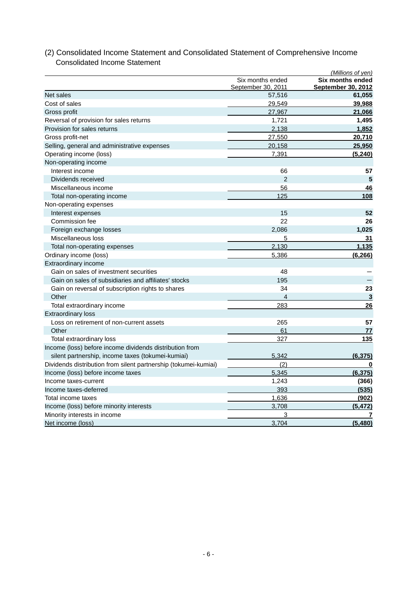|                                                                 |                                        | (Millions of yen)                             |
|-----------------------------------------------------------------|----------------------------------------|-----------------------------------------------|
|                                                                 | Six months ended<br>September 30, 2011 | <b>Six months ended</b><br>September 30, 2012 |
| Net sales                                                       | 57,516                                 | 61,055                                        |
| Cost of sales                                                   | 29,549                                 | 39,988                                        |
| Gross profit                                                    | 27,967                                 | 21,066                                        |
| Reversal of provision for sales returns                         | 1,721                                  | 1,495                                         |
| Provision for sales returns                                     | 2,138                                  | 1,852                                         |
| Gross profit-net                                                | 27,550                                 | 20,710                                        |
| Selling, general and administrative expenses                    | 20,158                                 | 25,950                                        |
| Operating income (loss)                                         | 7,391                                  | (5, 240)                                      |
| Non-operating income                                            |                                        |                                               |
| Interest income                                                 | 66                                     | 57                                            |
| Dividends received                                              | 2                                      | 5                                             |
| Miscellaneous income                                            | 56                                     | 46                                            |
| Total non-operating income                                      | 125                                    | 108                                           |
| Non-operating expenses                                          |                                        |                                               |
| Interest expenses                                               | 15                                     | 52                                            |
| Commission fee                                                  | 22                                     | 26                                            |
| Foreign exchange losses                                         | 2,086                                  | 1,025                                         |
| Miscellaneous loss                                              | 5                                      | 31                                            |
| Total non-operating expenses                                    | 2,130                                  | 1,135                                         |
| Ordinary income (loss)                                          | 5,386                                  | (6, 266)                                      |
| Extraordinary income                                            |                                        |                                               |
| Gain on sales of investment securities                          | 48                                     |                                               |
| Gain on sales of subsidiaries and affiliates' stocks            | 195                                    |                                               |
| Gain on reversal of subscription rights to shares               | 34                                     | 23                                            |
| Other                                                           | 4                                      | 3                                             |
| Total extraordinary income                                      | 283                                    | 26                                            |
| <b>Extraordinary loss</b>                                       |                                        |                                               |
| Loss on retirement of non-current assets                        | 265                                    | 57                                            |
| Other                                                           | 61                                     | 77                                            |
| Total extraordinary loss                                        | 327                                    | 135                                           |
| Income (loss) before income dividends distribution from         |                                        |                                               |
| silent partnership, income taxes (tokumei-kumiai)               | 5,342                                  | (6, 375)                                      |
| Dividends distribution from silent partnership (tokumei-kumiai) | (2)                                    | 0                                             |
| Income (loss) before income taxes                               | 5,345                                  | (6, 375)                                      |
| Income taxes-current                                            | 1,243                                  | (366)                                         |
| Income taxes-deferred                                           | 393                                    | (535)                                         |
| Total income taxes                                              | 1,636                                  | (902)                                         |
| Income (loss) before minority interests                         | 3.708                                  | (5, 472)                                      |
| Minority interests in income                                    | 3                                      | 7                                             |
| Net income (loss)                                               | 3,704                                  | (5,480)                                       |

## (2) Consolidated Income Statement and Consolidated Statement of Comprehensive Income Consolidated Income Statement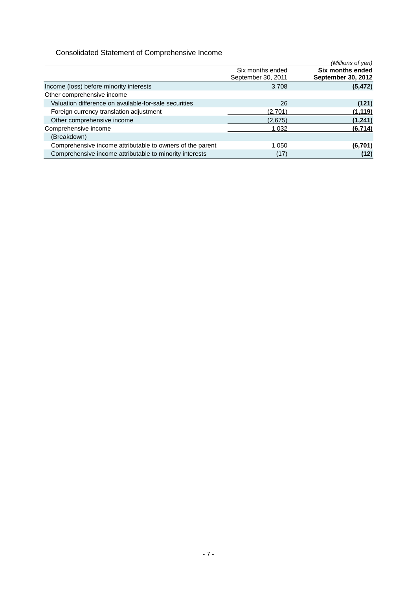## Consolidated Statement of Comprehensive Income

|                                                           |                                        | (Millions of yen)                             |
|-----------------------------------------------------------|----------------------------------------|-----------------------------------------------|
|                                                           | Six months ended<br>September 30, 2011 | Six months ended<br><b>September 30, 2012</b> |
| Income (loss) before minority interests                   | 3,708                                  | (5, 472)                                      |
| Other comprehensive income                                |                                        |                                               |
| Valuation difference on available-for-sale securities     | 26                                     | (121)                                         |
| Foreign currency translation adjustment                   | (2,701)                                | (1, 119)                                      |
| Other comprehensive income                                | (2,675)                                | (1,241)                                       |
| Comprehensive income                                      | 1.032                                  | (6, 714)                                      |
| (Breakdown)                                               |                                        |                                               |
| Comprehensive income attributable to owners of the parent | 1,050                                  | (6,701)                                       |
| Comprehensive income attributable to minority interests   | (17)                                   | (12)                                          |